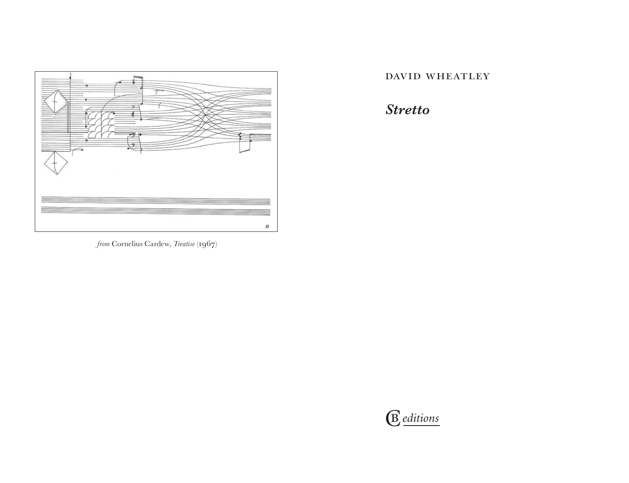

david wheatley

*Stretto*

*from* Cornelius Cardew, *Treatise* (1967)

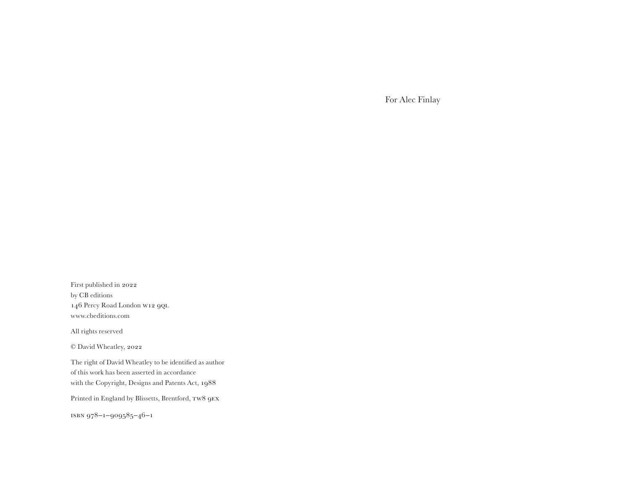For Alec Finlay

First published in 2022 by CB editions 146 Percy Road London w12 9ql www.cbeditions.com

All rights reserved

© David Wheatley, 2022

The right of David Wheatley to be identified as author of this work has been asserted in accordance with the Copyright, Designs and Patents Act, 1988

Printed in England by Blissetts, Brentford, tw8 9ex

isbn 978–1–909585–46–1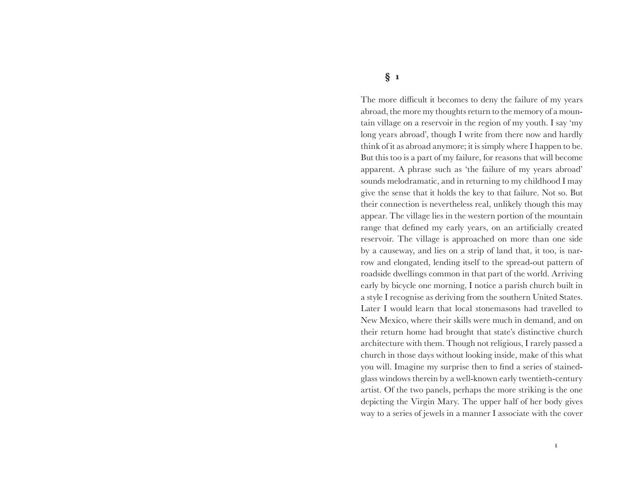## **§ 1**

The more difficult it becomes to deny the failure of my years abroad, the more my thoughts return to the memory of a mountain village on a reservoir in the region of my youth. I say 'my long years abroad', though I write from there now and hardly think of it as abroad anymore; it is simply where I happen to be. But this too is a part of my failure, for reasons that will become apparent. A phrase such as 'the failure of my years abroad' sounds melodramatic, and in returning to my childhood I may give the sense that it holds the key to that failure. Not so. But their connection is nevertheless real, unlikely though this may appear. The village lies in the western portion of the mountain range that defined my early years, on an artificially created reservoir. The village is approached on more than one side by a causeway, and lies on a strip of land that, it too, is narrow and elongated, lending itself to the spread-out pattern of roadside dwellings common in that part of the world. Arriving early by bicycle one morning, I notice a parish church built in a style I recognise as deriving from the southern United States. Later I would learn that local stonemasons had travelled to New Mexico, where their skills were much in demand, and on their return home had brought that state's distinctive church architecture with them. Though not religious, I rarely passed a church in those days without looking inside, make of this what you will. Imagine my surprise then to find a series of stainedglass windows therein by a well-known early twentieth-century artist. Of the two panels, perhaps the more striking is the one depicting the Virgin Mary. The upper half of her body gives way to a series of jewels in a manner I associate with the cover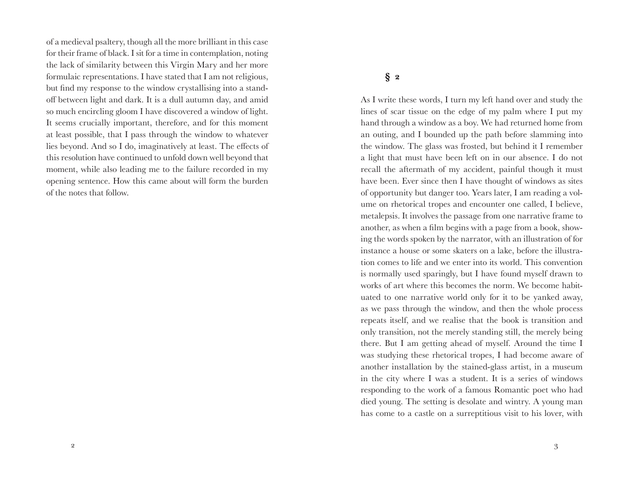of a medieval psaltery, though all the more brilliant in this case for their frame of black. I sit for a time in contemplation, noting the lack of similarity between this Virgin Mary and her more formulaic representations. I have stated that I am not religious, but find my response to the window crystallising into a standoff between light and dark. It is a dull autumn day, and amid so much encircling gloom I have discovered a window of light. It seems crucially important, therefore, and for this moment at least possible, that I pass through the window to whatever lies beyond. And so I do, imaginatively at least. The effects of this resolution have continued to unfold down well beyond that moment, while also leading me to the failure recorded in my opening sentence. How this came about will form the burden of the notes that follow.

## **§ 2**

As I write these words, I turn my left hand over and study the lines of scar tissue on the edge of my palm where I put my hand through a window as a boy. We had returned home from an outing, and I bounded up the path before slamming into the window. The glass was frosted, but behind it I remember a light that must have been left on in our absence. I do not recall the aftermath of my accident, painful though it must have been. Ever since then I have thought of windows as sites of opportunity but danger too. Years later, I am reading a volume on rhetorical tropes and encounter one called, I believe, metalepsis. It involves the passage from one narrative frame to another, as when a film begins with a page from a book, showing the words spoken by the narrator, with an illustration of for instance a house or some skaters on a lake, before the illustration comes to life and we enter into its world. This convention is normally used sparingly, but I have found myself drawn to works of art where this becomes the norm. We become habituated to one narrative world only for it to be yanked away, as we pass through the window, and then the whole process repeats itself, and we realise that the book is transition and only transition, not the merely standing still, the merely being there. But I am getting ahead of myself. Around the time I was studying these rhetorical tropes, I had become aware of another installation by the stained-glass artist, in a museum in the city where I was a student. It is a series of windows responding to the work of a famous Romantic poet who had died young. The setting is desolate and wintry. A young man has come to a castle on a surreptitious visit to his lover, with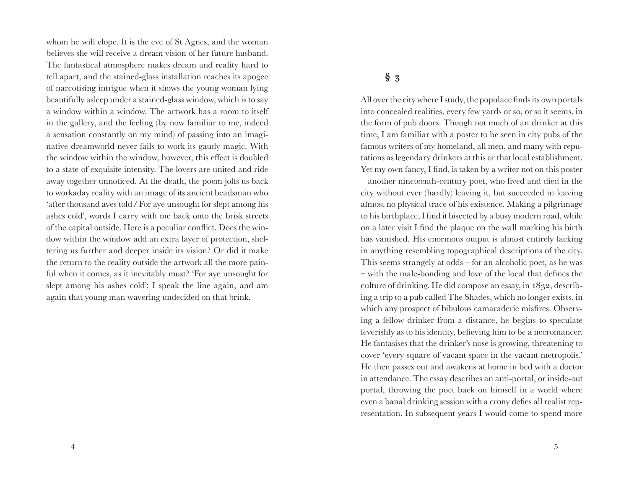whom he will elope. It is the eve of St Agnes, and the woman believes she will receive a dream vision of her future husband. The fantastical atmosphere makes dream and reality hard to tell apart, and the stained-glass installation reaches its apogee of narcotising intrigue when it shows the young woman lying beautifully asleep under a stained-glass window, which is to say a window within a window. The artwork has a room to itself in the gallery, and the feeling (by now familiar to me, indeed a sensation constantly on my mind) of passing into an imaginative dreamworld never fails to work its gaudy magic. With the window within the window, however, this effect is doubled to a state of exquisite intensity. The lovers are united and ride away together unnoticed. At the death, the poem jolts us back to workaday reality with an image of its ancient beadsman who 'after thousand aves told/For aye unsought for slept among his ashes cold', words I carry with me back onto the brisk streets of the capital outside. Here is a peculiar conflict. Does the window within the window add an extra layer of protection, sheltering us further and deeper inside its vision? Or did it make the return to the reality outside the artwork all the more painful when it comes, as it inevitably must? 'For aye unsought for slept among his ashes cold': I speak the line again, and am again that young man wavering undecided on that brink.

## **§ 3**

All over the city where I study, the populace finds its own portals into concealed realities, every few yards or so, or so it seems, in the form of pub doors. Though not much of an drinker at this time, I am familiar with a poster to be seen in city pubs of the famous writers of my homeland, all men, and many with reputations as legendary drinkers at this or that local establishment. Yet my own fancy, I find, is taken by a writer not on this poster – another nineteenth-century poet, who lived and died in the city without ever (hardly) leaving it, but succeeded in leaving almost no physical trace of his existence. Making a pilgrimage to his birthplace, I find it bisected by a busy modern road, while on a later visit I find the plaque on the wall marking his birth has vanished. His enormous output is almost entirely lacking in anything resembling topographical descriptions of the city. This seems strangely at odds – for an alcoholic poet, as he was – with the male-bonding and love of the local that defines the culture of drinking. He did compose an essay, in 1832, describing a trip to a pub called The Shades, which no longer exists, in which any prospect of bibulous camaraderie misfires. Observing a fellow drinker from a distance, he begins to speculate feverishly as to his identity, believing him to be a necromancer. He fantasises that the drinker's nose is growing, threatening to cover 'every square of vacant space in the vacant metropolis.' He then passes out and awakens at home in bed with a doctor in attendance. The essay describes an anti-portal, or inside-out portal, throwing the poet back on himself in a world where even a banal drinking session with a crony defies all realist representation. In subsequent years I would come to spend more